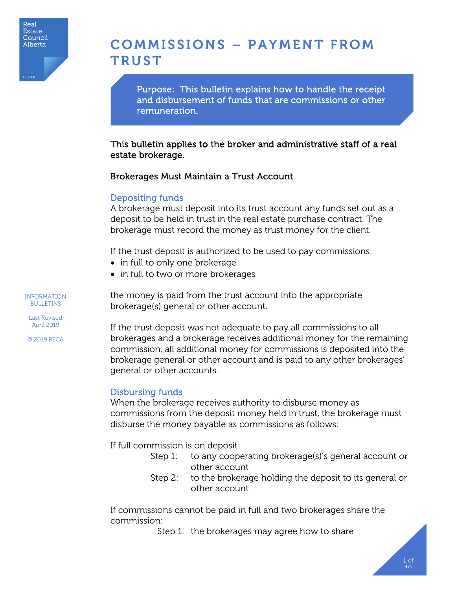# COMMISSIONS – PAYMENT FROM **TRUST**

Purpose: This bulletin explains how to handle the receipt and disbursement of funds that are commissions or other remuneration.

This bulletin applies to the broker and administrative staff of a real estate brokerage.

#### Brokerages Must Maintain a Trust Account

#### Depositing funds

A brokerage must deposit into its trust account any funds set out as a deposit to be held in trust in the real estate purchase contract. The brokerage must record the money as trust money for the client.

If the trust deposit is authorized to be used to pay commissions:

- in full to only one brokerage
- in full to two or more brokerages

the money is paid from the trust account into the appropriate brokerage(s) general or other account.

If the trust deposit was not adequate to pay all commissions to all brokerages and a brokerage receives additional money for the remaining commission, all additional money for commissions is deposited into the brokerage general or other account and is paid to any other brokerages' general or other accounts.

#### Disbursing funds

When the brokerage receives authority to disburse money as commissions from the deposit money held in trust, the brokerage must disburse the money payable as commissions as follows:

If full commission is on deposit:

- Step 1: to any cooperating brokerage(s)'s general account or other account
- Step 2: to the brokerage holding the deposit to its general or other account

If commissions cannot be paid in full and two brokerages share the commission:

Step 1: the brokerages may agree how to share

INFORMATION **BULLETINS** 

Last Revised April 2019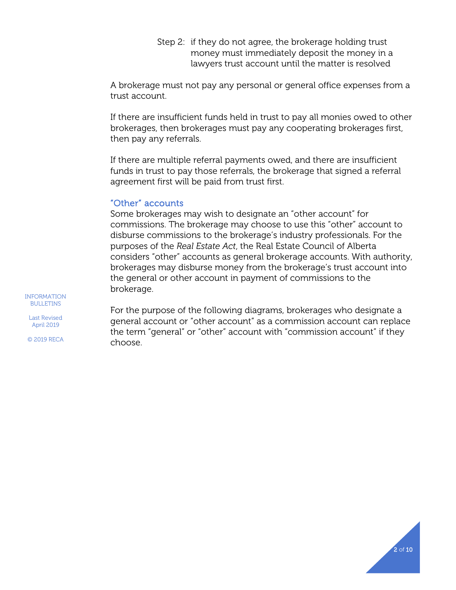Step 2: if they do not agree, the brokerage holding trust money must immediately deposit the money in a lawyers trust account until the matter is resolved

A brokerage must not pay any personal or general office expenses from a trust account.

If there are insufficient funds held in trust to pay all monies owed to other brokerages, then brokerages must pay any cooperating brokerages first, then pay any referrals.

If there are multiple referral payments owed, and there are insufficient funds in trust to pay those referrals, the brokerage that signed a referral agreement first will be paid from trust first.

#### "Other" accounts

Some brokerages may wish to designate an "other account" for commissions. The brokerage may choose to use this "other" account to disburse commissions to the brokerage's industry professionals. For the purposes of the *Real Estate Act*, the Real Estate Council of Alberta considers "other" accounts as general brokerage accounts. With authority, brokerages may disburse money from the brokerage's trust account into the general or other account in payment of commissions to the brokerage.

INFORMATION **BULLETINS** 

Last Revised April 2019

© 2019 RECA

For the purpose of the following diagrams, brokerages who designate a general account or "other account" as a commission account can replace the term "general" or "other" account with "commission account" if they choose.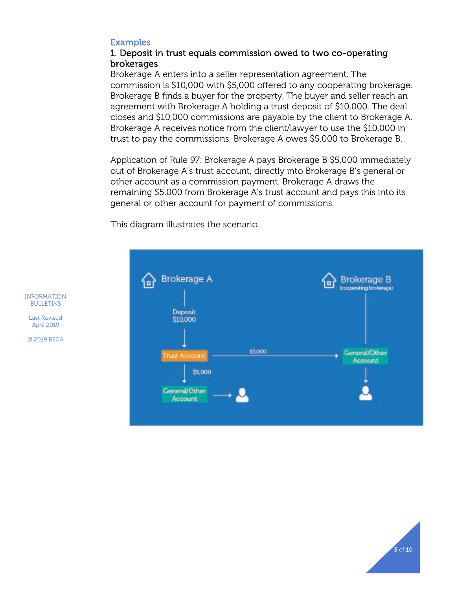#### Examples

#### 1. Deposit in trust equals commission owed to two co-operating brokerages

Brokerage A enters into a seller representation agreement. The commission is \$10,000 with \$5,000 offered to any cooperating brokerage. Brokerage B finds a buyer for the property. The buyer and seller reach an agreement with Brokerage A holding a trust deposit of \$10,000. The deal closes and \$10,000 commissions are payable by the client to Brokerage A. Brokerage A receives notice from the client/lawyer to use the \$10,000 in trust to pay the commissions. Brokerage A owes \$5,000 to Brokerage B.

Application of Rule 97: Brokerage A pays Brokerage B \$5,000 immediately out of Brokerage A's trust account, directly into Brokerage B's general or other account as a commission payment. Brokerage A draws the remaining \$5,000 from Brokerage A's trust account and pays this into its general or other account for payment of commissions.

This diagram illustrates the scenario.



INFORMATION BULLETINS

Last Revised April 2019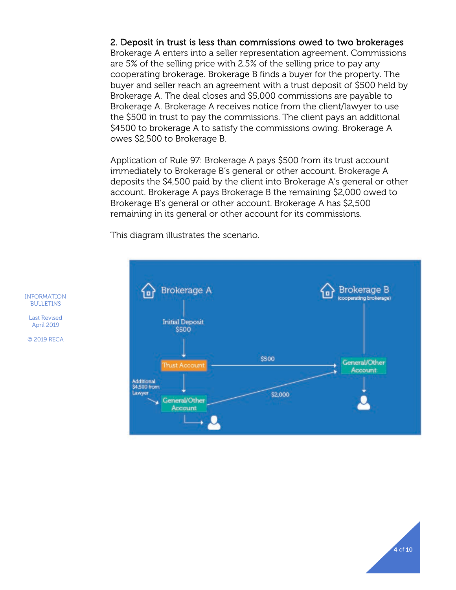#### 2. Deposit in trust is less than commissions owed to two brokerages

Brokerage A enters into a seller representation agreement. Commissions are 5% of the selling price with 2.5% of the selling price to pay any cooperating brokerage. Brokerage B finds a buyer for the property. The buyer and seller reach an agreement with a trust deposit of \$500 held by Brokerage A. The deal closes and \$5,000 commissions are payable to Brokerage A. Brokerage A receives notice from the client/lawyer to use the \$500 in trust to pay the commissions. The client pays an additional \$4500 to brokerage A to satisfy the commissions owing. Brokerage A owes \$2,500 to Brokerage B.

Application of Rule 97: Brokerage A pays \$500 from its trust account immediately to Brokerage B's general or other account. Brokerage A deposits the \$4,500 paid by the client into Brokerage A's general or other account. Brokerage A pays Brokerage B the remaining \$2,000 owed to Brokerage B's general or other account. Brokerage A has \$2,500 remaining in its general or other account for its commissions.

This diagram illustrates the scenario.



INFORMATION BULLETINS

Last Revised April 2019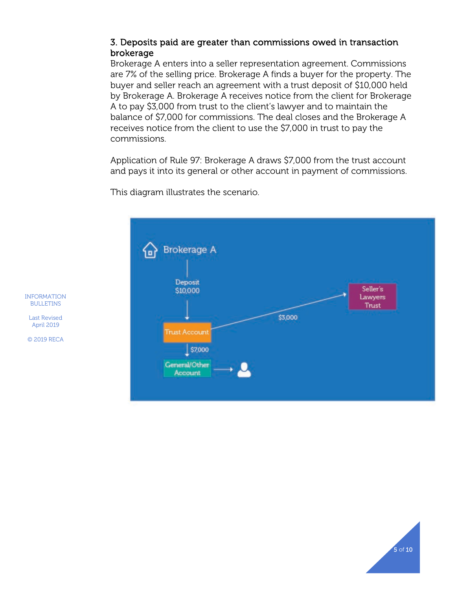### 3. Deposits paid are greater than commissions owed in transaction brokerage

Brokerage A enters into a seller representation agreement. Commissions are 7% of the selling price. Brokerage A finds a buyer for the property. The buyer and seller reach an agreement with a trust deposit of \$10,000 held by Brokerage A. Brokerage A receives notice from the client for Brokerage A to pay \$3,000 from trust to the client's lawyer and to maintain the balance of \$7,000 for commissions. The deal closes and the Brokerage A receives notice from the client to use the \$7,000 in trust to pay the commissions.

Application of Rule 97: Brokerage A draws \$7,000 from the trust account and pays it into its general or other account in payment of commissions.



This diagram illustrates the scenario.

INFORMATION **BULLETINS** 

Last Revised April 2019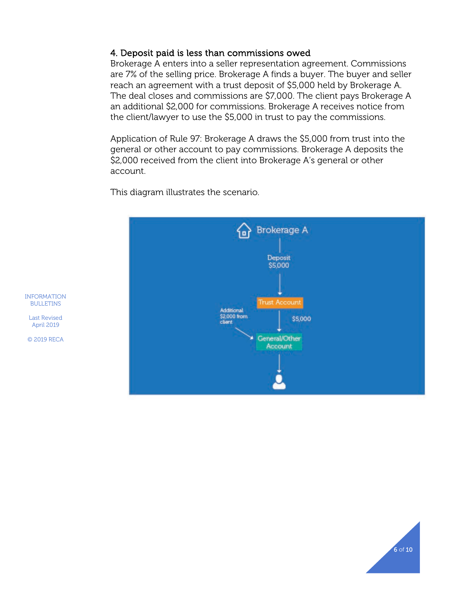#### 4. Deposit paid is less than commissions owed

Brokerage A enters into a seller representation agreement. Commissions are 7% of the selling price. Brokerage A finds a buyer. The buyer and seller reach an agreement with a trust deposit of \$5,000 held by Brokerage A. The deal closes and commissions are \$7,000. The client pays Brokerage A an additional \$2,000 for commissions. Brokerage A receives notice from the client/lawyer to use the \$5,000 in trust to pay the commissions.

Application of Rule 97: Brokerage A draws the \$5,000 from trust into the general or other account to pay commissions. Brokerage A deposits the \$2,000 received from the client into Brokerage A's general or other account.

This diagram illustrates the scenario.



INFORMATION BULLETINS

Last Revised April 2019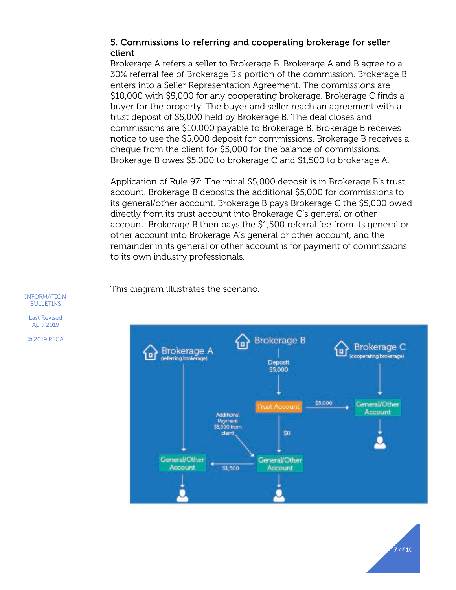#### 5. Commissions to referring and cooperating brokerage for seller client

Brokerage A refers a seller to Brokerage B. Brokerage A and B agree to a 30% referral fee of Brokerage B's portion of the commission. Brokerage B enters into a Seller Representation Agreement. The commissions are \$10,000 with \$5,000 for any cooperating brokerage. Brokerage C finds a buyer for the property. The buyer and seller reach an agreement with a trust deposit of \$5,000 held by Brokerage B. The deal closes and commissions are \$10,000 payable to Brokerage B. Brokerage B receives notice to use the \$5,000 deposit for commissions. Brokerage B receives a cheque from the client for \$5,000 for the balance of commissions. Brokerage B owes \$5,000 to brokerage C and \$1,500 to brokerage A.

Application of Rule 97: The initial \$5,000 deposit is in Brokerage B's trust account. Brokerage B deposits the additional \$5,000 for commissions to its general/other account. Brokerage B pays Brokerage C the \$5,000 owed directly from its trust account into Brokerage C's general or other account. Brokerage B then pays the \$1,500 referral fee from its general or other account into Brokerage A's general or other account, and the remainder in its general or other account is for payment of commissions to its own industry professionals.

This diagram illustrates the scenario.



INFORMATION BULLETINS

Last Revised April 2019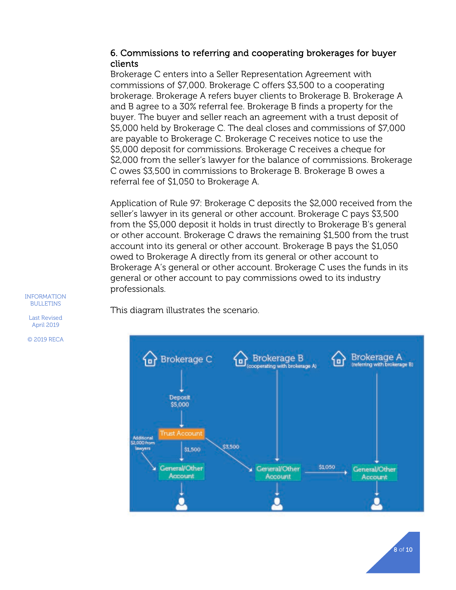#### 6. Commissions to referring and cooperating brokerages for buyer clients

Brokerage C enters into a Seller Representation Agreement with commissions of \$7,000. Brokerage C offers \$3,500 to a cooperating brokerage. Brokerage A refers buyer clients to Brokerage B. Brokerage A and B agree to a 30% referral fee. Brokerage B finds a property for the buyer. The buyer and seller reach an agreement with a trust deposit of \$5,000 held by Brokerage C. The deal closes and commissions of \$7,000 are payable to Brokerage C. Brokerage C receives notice to use the \$5,000 deposit for commissions. Brokerage C receives a cheque for \$2,000 from the seller's lawyer for the balance of commissions. Brokerage C owes \$3,500 in commissions to Brokerage B. Brokerage B owes a referral fee of \$1,050 to Brokerage A.

Application of Rule 97: Brokerage C deposits the \$2,000 received from the seller's lawyer in its general or other account. Brokerage C pays \$3,500 from the \$5,000 deposit it holds in trust directly to Brokerage B's general or other account. Brokerage C draws the remaining \$1,500 from the trust account into its general or other account. Brokerage B pays the \$1,050 owed to Brokerage A directly from its general or other account to Brokerage A's general or other account. Brokerage C uses the funds in its general or other account to pay commissions owed to its industry professionals.

This diagram illustrates the scenario.



INFORMATION BULLETINS

Last Revised April 2019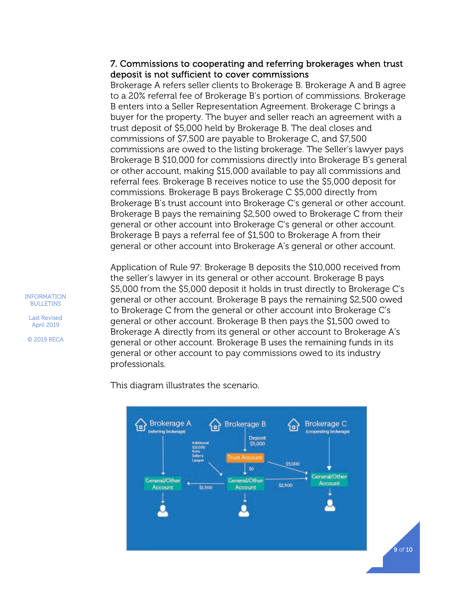#### 7. Commissions to cooperating and referring brokerages when trust deposit is not sufficient to cover commissions

Brokerage A refers seller clients to Brokerage B. Brokerage A and B agree to a 20% referral fee of Brokerage B's portion of commissions. Brokerage B enters into a Seller Representation Agreement. Brokerage C brings a buyer for the property. The buyer and seller reach an agreement with a trust deposit of \$5,000 held by Brokerage B. The deal closes and commissions of \$7,500 are payable to Brokerage C, and \$7,500 commissions are owed to the listing brokerage. The Seller's lawyer pays Brokerage B \$10,000 for commissions directly into Brokerage B's general or other account, making \$15,000 available to pay all commissions and referral fees. Brokerage B receives notice to use the \$5,000 deposit for commissions. Brokerage B pays Brokerage C \$5,000 directly from Brokerage B's trust account into Brokerage C's general or other account. Brokerage B pays the remaining \$2,500 owed to Brokerage C from their general or other account into Brokerage C's general or other account. Brokerage B pays a referral fee of \$1,500 to Brokerage A from their general or other account into Brokerage A's general or other account.

Application of Rule 97: Brokerage B deposits the \$10,000 received from the seller's lawyer in its general or other account. Brokerage B pays \$5,000 from the \$5,000 deposit it holds in trust directly to Brokerage C's general or other account. Brokerage B pays the remaining \$2,500 owed to Brokerage C from the general or other account into Brokerage C's general or other account. Brokerage B then pays the \$1,500 owed to Brokerage A directly from its general or other account to Brokerage A's general or other account. Brokerage B uses the remaining funds in its general or other account to pay commissions owed to its industry professionals.

This diagram illustrates the scenario.



INFORMATION BULLETINS

Last Revised April 2019 © 2019 RECA